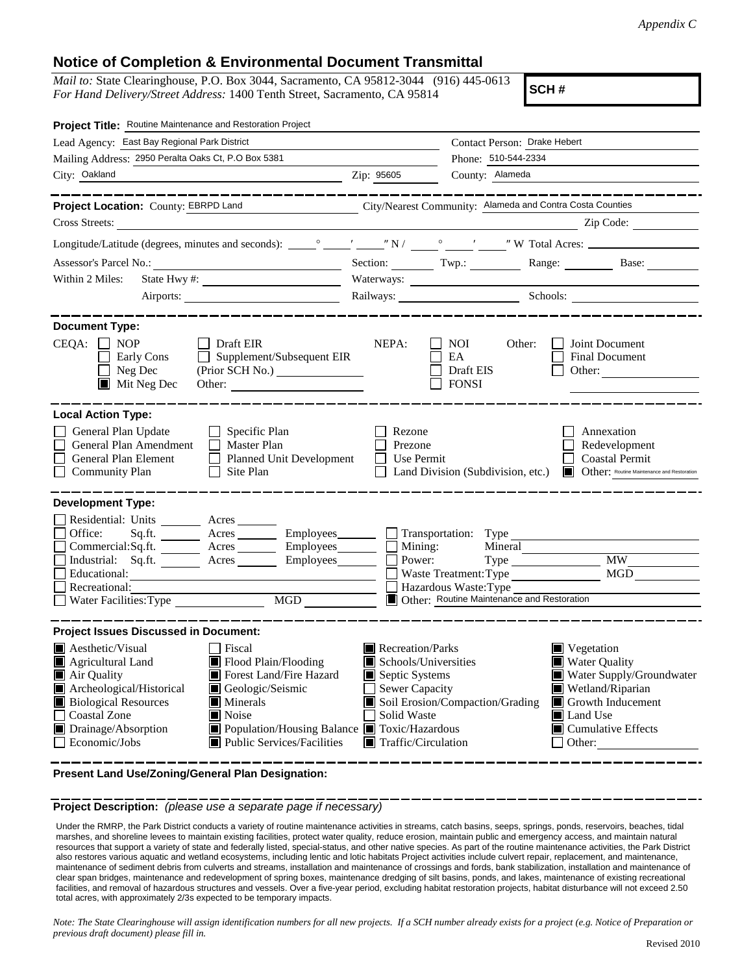## **Notice of Completion & Environmental Document Transmittal**

*Mail to:* State Clearinghouse, P.O. Box 3044, Sacramento, CA 95812-3044 (916) 445-0613 *For Hand Delivery/Street Address:* 1400 Tenth Street, Sacramento, CA 95814

**SCH #**

| Project Title: Routine Maintenance and Restoration Project                                                                                                                                                                                                                                                                                                                                                                 |                                                                                                                                                         |                                                                                                                               |                                                                                                                                                                                                           |
|----------------------------------------------------------------------------------------------------------------------------------------------------------------------------------------------------------------------------------------------------------------------------------------------------------------------------------------------------------------------------------------------------------------------------|---------------------------------------------------------------------------------------------------------------------------------------------------------|-------------------------------------------------------------------------------------------------------------------------------|-----------------------------------------------------------------------------------------------------------------------------------------------------------------------------------------------------------|
| Lead Agency: East Bay Regional Park District                                                                                                                                                                                                                                                                                                                                                                               |                                                                                                                                                         | Contact Person: Drake Hebert                                                                                                  |                                                                                                                                                                                                           |
| Mailing Address: 2950 Peralta Oaks Ct, P.O Box 5381                                                                                                                                                                                                                                                                                                                                                                        |                                                                                                                                                         | Phone: 510-544-2334                                                                                                           |                                                                                                                                                                                                           |
| City: Oakland<br><u>2</u> Zip: 95605                                                                                                                                                                                                                                                                                                                                                                                       |                                                                                                                                                         | County: Alameda                                                                                                               |                                                                                                                                                                                                           |
| Project Location: County: EBRPD Land                                                                                                                                                                                                                                                                                                                                                                                       |                                                                                                                                                         | City/Nearest Community: Alameda and Contra Costa Counties                                                                     |                                                                                                                                                                                                           |
| Cross Streets:                                                                                                                                                                                                                                                                                                                                                                                                             |                                                                                                                                                         |                                                                                                                               | Zip Code:                                                                                                                                                                                                 |
|                                                                                                                                                                                                                                                                                                                                                                                                                            |                                                                                                                                                         |                                                                                                                               |                                                                                                                                                                                                           |
|                                                                                                                                                                                                                                                                                                                                                                                                                            |                                                                                                                                                         |                                                                                                                               | Section: Twp.: Twp.: Range: Base: Base:                                                                                                                                                                   |
| Within 2 Miles:                                                                                                                                                                                                                                                                                                                                                                                                            | Waterways:                                                                                                                                              |                                                                                                                               |                                                                                                                                                                                                           |
|                                                                                                                                                                                                                                                                                                                                                                                                                            |                                                                                                                                                         |                                                                                                                               | Railways: Schools: Schools:                                                                                                                                                                               |
|                                                                                                                                                                                                                                                                                                                                                                                                                            |                                                                                                                                                         |                                                                                                                               |                                                                                                                                                                                                           |
| <b>Document Type:</b><br>CEOA: NOP<br>Draft EIR<br>Early Cons<br>Supplement/Subsequent EIR<br>$\Box$ Neg Dec<br>$\blacksquare$ Mit Neg Dec                                                                                                                                                                                                                                                                                 | NEPA:                                                                                                                                                   | NOI -<br>Other:<br>EA<br>Draft EIS<br><b>FONSI</b>                                                                            | Joint Document<br><b>Final Document</b><br>Other:                                                                                                                                                         |
| <b>Local Action Type:</b>                                                                                                                                                                                                                                                                                                                                                                                                  |                                                                                                                                                         |                                                                                                                               |                                                                                                                                                                                                           |
| $\Box$ Specific Plan<br>General Plan Update<br>General Plan Amendment<br>$\Box$ Master Plan<br>General Plan Element<br>Planned Unit Development<br>$\Box$ Site Plan<br><b>Community Plan</b>                                                                                                                                                                                                                               | Rezone<br>Prezone<br>$\Box$ Use Permit                                                                                                                  | Land Division (Subdivision, etc.)                                                                                             | Annexation<br>Redevelopment<br>□ Coastal Permit<br>Other: Routine Maintenance and Restoration                                                                                                             |
| <b>Development Type:</b>                                                                                                                                                                                                                                                                                                                                                                                                   |                                                                                                                                                         |                                                                                                                               |                                                                                                                                                                                                           |
| Residential: Units ________ Acres ____<br>Sq.ft. _________ Acres __________ Employees________ __ Transportation: Type __________<br>Office:<br>$Commetrical:$ $\overline{\text{Sq}. \text{ft.}}$ $\overline{\text{Lipses}}$ Acres $\overline{\text{Lipses}}$ $\overline{\text{Lipses}}$ $\overline{\text{Lipses}}$<br>Industrial: Sq.ft. Acres Employees<br>Educational:<br>Recreational:<br><b>MGD</b>                    | Power:                                                                                                                                                  | Mineral<br>$Type \_\_$<br>Waste Treatment: Type<br>$\Box$ Hazardous Waste: Type<br>Other: Routine Maintenance and Restoration | <b>MW</b><br>MGD                                                                                                                                                                                          |
| <b>Project Issues Discussed in Document:</b>                                                                                                                                                                                                                                                                                                                                                                               |                                                                                                                                                         |                                                                                                                               |                                                                                                                                                                                                           |
| Aesthetic/Visual<br>  Fiscal<br>Flood Plain/Flooding<br>Agricultural Land<br>Forest Land/Fire Hazard<br>Air Quality<br>Archeological/Historical<br>Geologic/Seismic<br><b>Biological Resources</b><br>$\blacksquare$ Minerals<br><b>Coastal Zone</b><br>$\blacksquare$ Noise<br>Drainage/Absorption<br>■ Population/Housing Balance ■ Toxic/Hazardous<br>$\Box$ Economic/Jobs<br>$\blacksquare$ Public Services/Facilities | Recreation/Parks<br>$\blacksquare$ Schools/Universities<br>Septic Systems<br>$\Box$ Sewer Capacity<br>Solid Waste<br>$\blacksquare$ Traffic/Circulation | Soil Erosion/Compaction/Grading                                                                                               | $\blacksquare$ Vegetation<br>Water Quality<br>Water Supply/Groundwater<br>Wetland/Riparian<br>$\blacksquare$ Growth Inducement<br><b>■</b> Land Use<br>$\blacksquare$ Cumulative Effects<br>$\Box$ Other: |

**Present Land Use/Zoning/General Plan Designation:**

**Project Description:** *(please use a separate page if necessary)*

 Under the RMRP, the Park District conducts a variety of routine maintenance activities in streams, catch basins, seeps, springs, ponds, reservoirs, beaches, tidal marshes, and shoreline levees to maintain existing facilities, protect water quality, reduce erosion, maintain public and emergency access, and maintain natural resources that support a variety of state and federally listed, special-status, and other native species. As part of the routine maintenance activities, the Park District also restores various aquatic and wetland ecosystems, including lentic and lotic habitats Project activities include culvert repair, replacement, and maintenance, maintenance of sediment debris from culverts and streams, installation and maintenance of crossings and fords, bank stabilization, installation and maintenance of clear span bridges, maintenance and redevelopment of spring boxes, maintenance dredging of silt basins, ponds, and lakes, maintenance of existing recreational facilities, and removal of hazardous structures and vessels. Over a five-year period, excluding habitat restoration projects, habitat disturbance will not exceed 2.50 total acres, with approximately 2/3s expected to be temporary impacts.

*Note: The State Clearinghouse will assign identification numbers for all new projects. If a SCH number already exists for a project (e.g. Notice of Preparation or previous draft document) please fill in.*